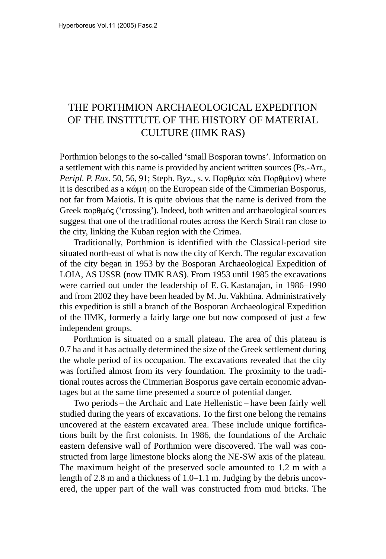## THE PORTHMION ARCHAEOLOGICAL EXPEDITION OF THE INSTITUTE OF THE HISTORY OF MATERIAL CULTURE (IIMK RAS)

Porthmion belongs to the so-called 'small Bosporan towns'. Information on a settlement with this name is provided by ancient written sources (Ps.-Arr., Peripl. P. Eux. 50, 56, 91; Steph. Byz., s. v. Πορθμία και Πορθμίον) where it is described as a  $\kappa \omega \mu \eta$  on the European side of the Cimmerian Bosporus, not far from Maiotis. It is quite obvious that the name is derived from the Greek πορθμός ('crossing'). Indeed, both written and archaeological sources suggest that one of the traditional routes across the Kerch Strait ran close to the city, linking the Kuban region with the Crimea.

Traditionally, Porthmion is identified with the Classical-period site situated north-east of what is now the city of Kerch. The regular excavation of the city began in 1953 by the Bosporan Archaeological Expedition of LOIA, AS USSR (now IIMK RAS). From 1953 until 1985 the excavations were carried out under the leadership of E. G. Kastanajan, in 1986–1990 and from 2002 they have been headed by M.Ju. Vakhtina. Administratively this expedition is still a branch of the Bosporan Archaeological Expedition of the IIMK, formerly a fairly large one but now composed of just a few independent groups.

Porthmion is situated on a small plateau. The area of this plateau is 0.7 ha and it has actually determined the size of the Greek settlement during the whole period of its occupation. The excavations revealed that the city was fortified almost from its very foundation. The proximity to the traditional routes across the Cimmerian Bosporus gave certain economic advantages but at the same time presented a source of potential danger.

Two periods – the Archaic and Late Hellenistic – have been fairly well studied during the years of excavations. To the first one belong the remains uncovered at the eastern excavated area. These include unique fortifications built by the first colonists. In 1986, the foundations of the Archaic eastern defensive wall of Porthmion were discovered. The wall was constructed from large limestone blocks along the NE-SW axis of the plateau. The maximum height of the preserved socle amounted to 1.2 m with a length of 2.8 m and a thickness of 1.0–1.1 m. Judging by the debris uncovered, the upper part of the wall was constructed from mud bricks. The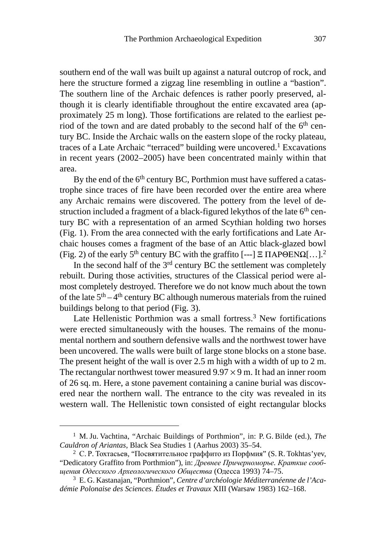southern end of the wall was built up against a natural outcrop of rock, and here the structure formed a zigzag line resembling in outline a "bastion". The southern line of the Archaic defences is rather poorly preserved, although it is clearly identifiable throughout the entire excavated area (approximately 25 m long). Those fortifications are related to the earliest period of the town and are dated probably to the second half of the 6<sup>th</sup> century BC. Inside the Archaic walls on the eastern slope of the rocky plateau, traces of a Late Archaic "terraced" building were uncovered.1 Excavations in recent years (2002–2005) have been concentrated mainly within that area.

By the end of the 6<sup>th</sup> century BC, Porthmion must have suffered a catastrophe since traces of fire have been recorded over the entire area where any Archaic remains were discovered. The pottery from the level of destruction included a fragment of a black-figured lekythos of the late 6<sup>th</sup> century BC with a representation of an armed Scythian holding two horses (Fig. 1). From the area connected with the early fortifications and Late Archaic houses comes a fragment of the base of an Attic black-glazed bowl (Fig. 2) of the early 5<sup>th</sup> century BC with the graffito [---]  $\Xi$   $\Pi$ AP $\Theta$ EN $\Omega$ [...].<sup>2</sup>

In the second half of the 3rd century BC the settlement was completely rebuilt. During those activities, structures of the Classical period were almost completely destroyed. Therefore we do not know much about the town of the late  $5<sup>th</sup> - 4<sup>th</sup>$  century BC although numerous materials from the ruined buildings belong to that period (Fig. 3).

Late Hellenistic Porthmion was a small fortress.<sup>3</sup> New fortifications were erected simultaneously with the houses. The remains of the monumental northern and southern defensive walls and the northwest tower have been uncovered. The walls were built of large stone blocks on a stone base. The present height of the wall is over 2.5 m high with a width of up to 2 m. The rectangular northwest tower measured  $9.97 \times 9$  m. It had an inner room of 26 sq. m. Here, a stone pavement containing a canine burial was discovered near the northern wall. The entrance to the city was revealed in its western wall. The Hellenistic town consisted of eight rectangular blocks

<sup>1</sup> M. Ju. Vachtina, "Archaic Buildings of Porthmion", in: P. G. Bilde (ed.), *The Cauldron of Ariantas*, Black Sea Studies 1 (Aarhus 2003) 35–54.

 $2$  C.P. Тохтасьев, "Посвятительное граффито из Порфмия" (S.R. Tokhtas' yev, "Dedicatory Graffito from Porthmion"), in: Древнее Причерноморье. Краткие сообщения Одесского Археологического Общества (Одесса 1993) 74–75.

<sup>3</sup> E. G. Kastanajan, "Porthmion", *Centre d'archéologie Méditerranéenne de l'Académie Polonaise des Sciences. Études et Travaux* XIII (Warsaw 1983) 162–168.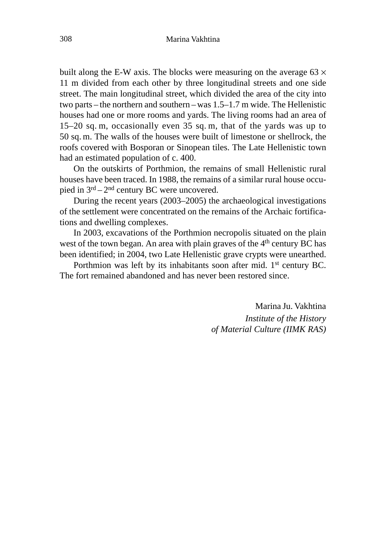built along the E-W axis. The blocks were measuring on the average  $63 \times$ 11 m divided from each other by three longitudinal streets and one side street. The main longitudinal street, which divided the area of the city into two parts – the northern and southern –was 1.5–1.7 m wide. The Hellenistic houses had one or more rooms and yards. The living rooms had an area of 15–20 sq. m, occasionally even 35 sq. m, that of the yards was up to 50 sq. m. The walls of the houses were built of limestone or shellrock, the roofs covered with Bosporan or Sinopean tiles. The Late Hellenistic town had an estimated population of c. 400.

On the outskirts of Porthmion, the remains of small Hellenistic rural houses have been traced. In 1988, the remains of a similar rural house occupied in  $3<sup>rd</sup> - 2<sup>nd</sup>$  century BC were uncovered.

During the recent years (2003–2005) the archaeological investigations of the settlement were concentrated on the remains of the Archaic fortifications and dwelling complexes.

In 2003, excavations of the Porthmion necropolis situated on the plain west of the town began. An area with plain graves of the 4<sup>th</sup> century BC has been identified; in 2004, two Late Hellenistic grave crypts were unearthed.

Porthmion was left by its inhabitants soon after mid. 1<sup>st</sup> century BC. The fort remained abandoned and has never been restored since.

> Marina Ju. Vakhtina *Institute of the History of Material Culture (IIMK RAS)*